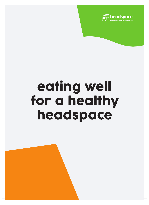

# eating well for a healthy headspace